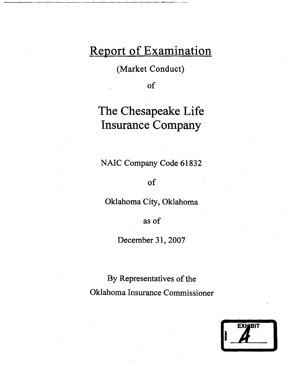# Report of Examination

(Market Conduct)

of

# The Chesapeake Life Insurance Company

NAIC Company Code 61832

of

Oklahoma City, Oklahoma

as of

December 31, 2007

By Representatives of the Oklahoma Insurance Commissioner

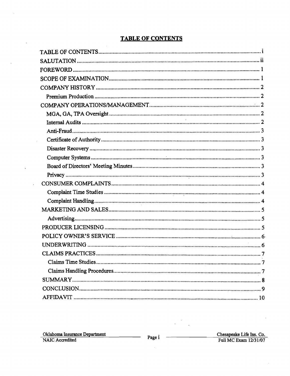# **TABLE OF CONTENTS**

 $\hat{\mathcal{A}}$ 

 $\overline{\phantom{a}}$ 

 $\mathcal{A}$ 

 $\ddot{\phantom{0}}$ 

 $\hat{\mathcal{A}}$ 

 $\sim$  $\mathbf{r}$ 

 $\frac{1}{2}$ 

l.

l,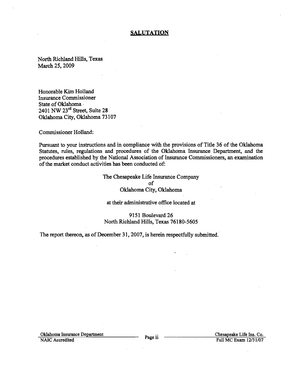## **SALUTATION**

North Richland Hills, Texas March 25, 2009

Honorable Kim Holland Insurance Commissioner State of Oklahoma· 2401 NW 23rd Street, Suite 28 Oklahoma City, Oklahoma 73107

Commissioner Holland:

Pursuant to your instructions and in compliance with the provisions of Title 36 of the Oklahoma Statutes, rules, regulations and procedures of the Oklahoma Insurance Department, and the procedures established by the National Association of Insurance Commissioners, an examination of the market conduct activities has been conducted of:

# The Chesapeake Life Insurance Company of Oklahoma City, Oklahoma

#### at their administrative office located at

9151 Boulevard 26 North Richland Hills, Texas 76180-5605

The report thereon, as of December 31, 2007, is herein respectfully submitted.

Oklahoma Insurance Department Page ii Chesapeake Life Ins. Co.<br>
NAIC Accredited Full MC Exam 12/31/07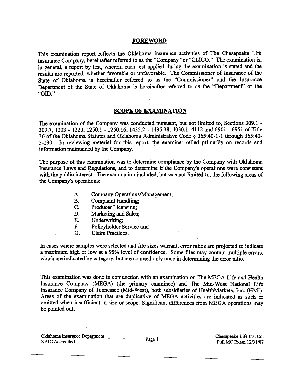#### FOREWORD

This examination report reflects the Oklahoma insurance activities of The Chesapeake Life Insurance Company, hereinafter referred to as the "Company "or "CLICO." The examination is, in general, a report by test, wherein each test applied during the examination is stated and the results are reported, whether favorable or unfavorable. The Commissioner of Insurance of the State of Oklahoma is hereinafter referred to as the "Commissioner" and the Insurance Department of the State of Oklahoma is hereinafter referred to as the "Department" or the "010."

# SCOPE OF EXAMINATION

The examination of the Company was conducted pursuant, but not limited to, Sections 309.1 -309.7, 1203 - 1220, 1250.1 - 1250.16, 1435.2 - 1435.38,4030.1,4112 and 6901 - 6951 of Title 36 of the Oklahoma Statutes and Oklahoma Administrative Code § 365:40-1-1 through 365:40 5-130. In reviewing material for this report, the examiner relied primarily on records and information maintained by the Company.

The purpose of this examination was to determine compliance by the Company with Oklahoma Insurance Laws and Regulations, and to determine if the Company's operations were consistent with the public interest. The examination included, but was not limited to, the following areas of the Company"s operations:

- A. Company Operations/Management;
- B. Complaint Handling;
- C. Producer Licensing;
- D. Marketing and Sales;
- E. Underwriting;<br>F. Policyholder S.
- Policyholder Service and
- G. Claim Practices.

In cases where samples were selected and file sizes warrant, error ratios are projected to indicate a maximum high or low at a 95% level of confidence. Some files may contain multiple errors, which are indicated by category, but are counted only once in determining the error ratio.

This examination was done in conjunction with an examination on The MEGA Life and Health Insurance Company (MEGA) (the primary examinee) and The Mid-West National Life Insurance Company of Tennessee (Mid-West), both subsidiaries of HealthMarkets, Inc. (HM!). Areas of the examination that are duplicative of MEGA activities are indicated as such or omitted when insufficient in size or scope. Significant differences from MEGA operations may be pointed out.

Oklahoma Insurance Department Page 1 Chesapeake Life Ins. Co.<br>
NAIC Accredited Full MC Exam 12/31/07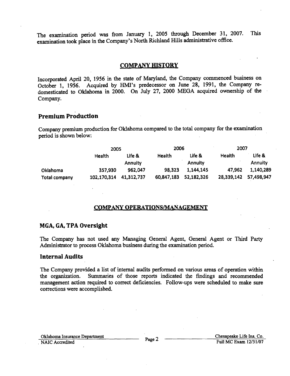The examination period was from January 1, 2005 through December 31, 2007. This examination took place in the Company's North Richland Hills administrative office.

### **COMPANY HISTORY**

Incorporated April 20, 1956 in the state of Maryland, the Company commenced business on October 1, 1956. Acquired by HMI's predecessor on June 28, 1991, the Company redomesticated to Oklahoma in 2000. On July 27, 2000 MEGA acquired ownership of the Company.

# Premium Production

Company premium production for Oklahoma compared to the total company for the examination period is shown below:

|               | 2005        |                | 2006          |                | 2007       |                |
|---------------|-------------|----------------|---------------|----------------|------------|----------------|
|               | Health      | Life &         | <b>Health</b> | Life &         | Health     | Life &         |
|               |             | <b>Annuity</b> |               | <b>Annuity</b> |            | <b>Annuity</b> |
| Oklahoma      | 357.930     | 962,047        | 98,323        | 1,144,145      | 47,962     | 1,140,289      |
| Total company | 102,170,314 | 41,312,737     | 60,847,183    | 52,182,326     | 28,339,142 | 57,498,947     |

#### COMPANY OPERATIONSIMANAGEMENT

### MGA, GA, TPA Oversight

The Company has not used any Managing General Agent, General Agent or Third Party Administrator to process Oklahoma business during the examination period.

#### Internal Audits

The Company provided a list of internal audits performed on various areas of operation within the organization. Summaries of those reports indicated the fmdings and recommended management action required to correct deficiencies. Follow-ups were scheduled to make sure corrections were accomplished.

Oklahoma Insurance Department Page 2 Chesapeake Life Ins. Co.<br>
NAIC Accredited Full MC Exam 12/31/07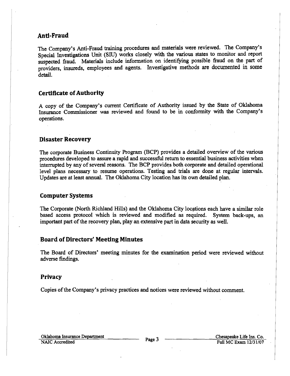# **Anti-Fraud**

The Company's Anti-Fraud training procedures and materials were reviewed. The Company's Special Investigations Unit (SID) works closely with the various states to monitor and report suspected fraud. Materials include information on identifying possible fraud on the part of providers, insureds, employees and agents. Investigative methods are documented in some detail.

# **Certificate ofAuthority**

A copy of the Company's current Certificate of Authority issued by the State of Oklahoma Insurance Commissioner was reviewed and found to be in conformity with the Company's operations.

# **Disaster Recovery**

The corporate Business Continuity Program (BCP) provides a detailed overview of the various procedures developed to assure a rapid and successful return to essential business activities when interrupted by any of several reasons. The BCP provides both corporate and detailed operational level plans necessary to resume operations. Testing and trials are done at regular intervals. Updates are at least annual. The Oklahoma City location has its own detailed plan.

# **Computer Systems**

The Corporate (North Richland Hills) and the Oklahoma City locations each have a similar role based access protocol which is reviewed and modified as required. System back-ups, an important part of the recovery plan, play an extensive part in data security as well.

# **Board of Directors' Meeting Minutes**

The Board of Directors' meeting minutes for the examination period were reviewed without adverse fmdings.

#### **Privacy**

Copies of the Company's privacy practices and notices were reviewed without comment.

Oklahoma Insurance Department Page 3 Chesapeake Life Ins. Co.<br>
NAIC Accredited Full MC Exam 12/31/07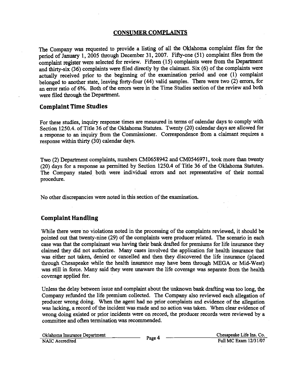# **CONSUMER COMPLAINTS**

The Company was requested to provide a listing of all the Oklahoma complaint files for the period of January 1, 2005 through December 31, 2007. Fifty-one (51) complaint files from the complaint register were selected for review. Fifteen (15) complaints were from the Department and thirty-six (36) complaints were filed directly by the claimant. Six (6) of the complaints were actually received prior to the beginning of the examination period and one  $(1)$  complaint belonged to another state, leaving forty-four (44) valid samples. There were two (2) errors, for an error ratio of 6%. Both of the errors were in the Time Studies section of the review and both were filed through the Department.

# **Complaint Time Studies**

For these studies, inquiry response times are measured in terms of calendar days to comply with Section 1250.4. of Title 36 of the Oklahoma Statutes. Twenty (20) calendar days are allowed for a response to an inquiry from the Commissioner. Correspondence from a claimant requires a response within thirty (30) calendar days.

Two (2) Department complaints, numbers CM0658942 and CM0546971, took more than twenty (20) days for a response as permitted by Section 1250.4 of Title 36 of the Oklahoma Statutes. The Company stated both were individual errors and not representative of their normal procedure.

No other discrepancies were noted in this section of the examination.

# **Complaint HandUng**

While there were no violations noted in the processing of the complaints reviewed, it should be pointed out that twenty-nine (29) of the complaints were producer related. The scenario in each case was that the complainant was having their bank drafted for premiums for life insurance they claimed they did not authorize. Many cases involved the application for health insurance that was either not taken, denied or cancelled and then they discovered the life insurance (placed through Chesapeake while the health insurance may have been through MEGA or Mid-West) was still in force. Many said they were unaware the life coverage was separate from the health coverage applied for.

Unless the delay between issue and complaint about the unknown bank drafting was too long, the Company refunded the life premium collected. The Company also reviewed each allegation of producer wrong doing. When the agent had no prior complaints and evidence of the allegation was lacking, a record of the incident was made and no action was taken. When clear evidence of wrong doing existed or prior incidents were on record, the producer records were reviewed by a committee and often termination was recommended.

Oklahoma Insurance Department Page 4 Chesapeake Life Ins. Co.<br>
NAIC Accredited Full MC Exam 12/31/07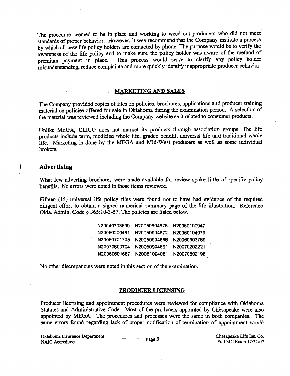The procedure seemed to be in place and working to weed out producers who did not meet standards of proper behavior. However, it was recommend that the Company institute a process by which all new life policy holders are contacted by phone. The purpose would be to verify the awareness of the life policy and to make sure the policy holder was aware of the method of premium payment in place. This process would serve to clarify any policy holder misunderstanding, reduce complaints and more quickly identify inappropriate producer behavior.

#### . MARKETING AND SALES

The Company provided copies of files on policies, brochures, applications and producer training material on policies offered for sale in Oklahoma during the examination period. A selection of the material was reviewed including the Company website as it related to consumer products.

Unlike MEGA, CLICO does not market its products through association groups. The life products include term, modified whole life, graded benefit, universal life and traditional whole life. Marketing is done by the MEGA and Mid-West producers as well as some individual brokers.

#### **Advertising**

What few adverting brochures were made available for review spoke little of specific policy benefits. No errors were noted in those items reviewed. .

Fifteen (15) universal life policy files were found not to have had evidence of the required diligent effort to obtain a signed numerical summary page of the life illustration. Reference Okla. Admin. Code § 365:10-3-57. The policies are listed below.

| N20040703599 | N20050604675 | N20060100947 |
|--------------|--------------|--------------|
| N20050200481 | N20050904872 | N20060104079 |
| N20050701705 | N20050904886 | N20060303769 |
| N20070600704 | N20050904891 | N20070202221 |
| N20050601687 | N20051004051 | N20070502195 |

No other discrepancies were noted in this section of the examination.

#### PRODUCER LICENSING

Producer licensing and appointment procedures were reviewed for compliance with Oklahoma Statutes and Administrative Code. Most of the producers appointed by Chesapeake were also appointed by MEGA. The procedures and processes were the same in both companies. The same errors found regarding lack of proper notification of termination of appointment would

Oklahoma Insurance Department Page 5 Chesapeake Life Ins. Co.<br>
NAIC Accredited Full MC Exam 12/31/07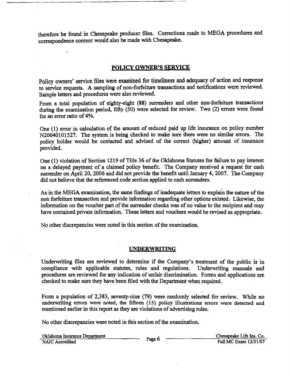therefore be found in Chesapeake producer files. Corrections made to MEGA procedures and correspondence content would also be made with Chesapeake.

# POLICY OWNER'S SERVICE

Policy owners' service files were examined for timeliness and adequacy of action and response to service requests. A sampling of non-forfeiture transactions and notifications were reviewed. Sample letters and procedures were also reviewed.

From a total population of eighty-eight (88) surrenders and other non-forfeiture transactions during the examination period, fifty (50) were selected for review. Two (2) errors were found for an error ratio of 4%.

One (1) error in calculation of the amount of reduced paid up life insurance on policy number N20040101527. The system is being checked to make sure there were no similar errors. The policy holder would be contacted and advised of the correct (higher) amount of insurance provided.

One (1) violation of Section 1219 of Title 36 of the Oklahoma Statutes for failure to pay interest on a delayed payment of a claimed policy benefit. The Company received a request for cash surrender on April 20, 2006 and did not provide the benefit until January 4, 2007. The Company did not believe that the referenced code section applied to cash surrenders.

As in the MEGA examination, the same findings of inadequate letters to explain the nature of the non forfeiture transaction and provide information regarding other options existed; Likewise, the information on the voucher part of the surrender checks was of no value to the recipient and may have contained private information. These letters and vouchers would be revised as appropriate.

No other discrepancies were noted in this section of the examination.

# UNDERWRITING

Underwriting files are reviewed to determine if the Company's treatment of the public is in compliance with applicable statutes, rules and regulations. Underwriting manuals and procedures are reviewed for any indication of unfair discrimination. Forms and applications are checked to make sure they have been filed with the Department when required.

From a population of 2,383, seventy-nine (79) were randomly selected for review. While no underwriting errors were noted, the fifteen (15) policy illustrations errors were detected and mentioned earlier in this report as they are violations of advertising rules.

No other discrepancies were noted in this section of the examination.

|                 | Oklahoma Insurance Department |
|-----------------|-------------------------------|
| NAIC Accredited |                               |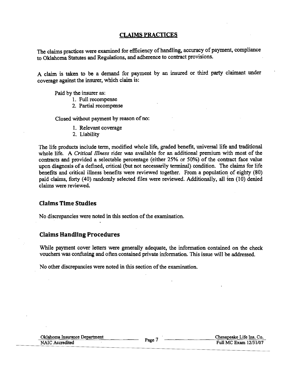# **CLAIMS PRACTICES**

The claims practices were examined for efficiency of handling, accuracy of payment, compliance to Oklahoma Statutes and Regulations, and adherence to contract provisions.

A claim is taken to be a demand for payment by an insured or third party claimant under coverage against the insurer, which claim is:

Paid by the insurer as:

- 1. Full recompense
- 2. Partial recompense

Closed without payment by reason of no:

- 1. Relevant coverage
- 2. Liability

The life products include term, modified whole life, graded benefit, universal life and traditional whole life. A *Critical Illness* rider was available for an additional premium with most of the contracts and provided a selectable percentage (either 25% or 50%) of the contract face value upon diagnosis of a defined, critical (but not necessarily terminal) condition. The claims for life benefits and critical illness benefits were reviewed together. From a population of eighty (80) paid claims, forty (40) randomly selected files were reviewed. Additionally, all ten (10) denied claims were reviewed.

# **Claims Time Studies**

No discrepancies were noted in this section of the examination.

# **Claims Handling Procedures**

While payment cover letters were generally adequate, the information contained on the check vouchers was confusing and often contained private information. This issue will be addressed.

No other discrepancies were noted in this section of the examination.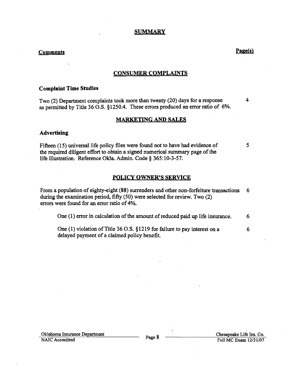#### **SUMMARY**

# **Comments** Page(s)

4

5

#### **CONSUMER COMPLAINTS**

#### **Complaint Time Studies**

Two (2) Department complaints took more than twenty (20) days for a response as permitted by Title 36 O.S. §1250.4. These errors produced an error ratio of 6%.

# **MARKETING AND SALES**

#### **Advertising**

Fifteen (15) universal life policy files were found not to have had evidence of the required diligent effort to obtain a signed numerical summary page of the life illustration. Reference Okla. Admin. Code § 365:10-3-57.

### **POLICY OWNER'S SERVICE**

From a popUlation of eighty-eight (88) surrenders and other non-forfeiture transactions during the examination period, fifty (50) were selected for review. Two (2) errors were found for an error ratio of 4%. 6

One  $(1)$  error in calculation of the amount of reduced paid up life insurance.  $6$ 

One (1) violation of Title 36 O.S. §1219 for failure to pay interest on a delayed payment of a claimed policy benefit. 6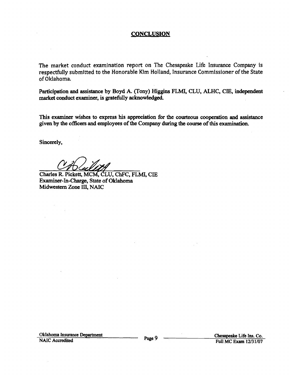# **CONCLUSION**

The market conduct examination report on The Chesapeake Life Insurance Company is respectfully submitted to the Honorable Kim Holland, Insurance Commissioner of the State of Oklahoma.

Participation and assistance by Boyd A. (Tony) Higgins FLMI, CLU, ALHC, CIE, independent market conduct examiner, is gratefully acknowledged.

This examiner wishes to express his appreciation for the courteous cooperation and assistance given by the officers and employees of the Company during the course of this examination.

Sincerely,

Charles R. Pickett, MCM, CLU, ChFC, FLMI, CIE Examiner-In-Charge, State of Oklahoma Midwestern Zone III, NAIC

Oklahoma Insurance Department Page 9  $\overline{\phantom{0}}$  Page 9  $\overline{\phantom{0}}$  Chesapeake Life Ins. Co. Pull MC Exam 12/31/07